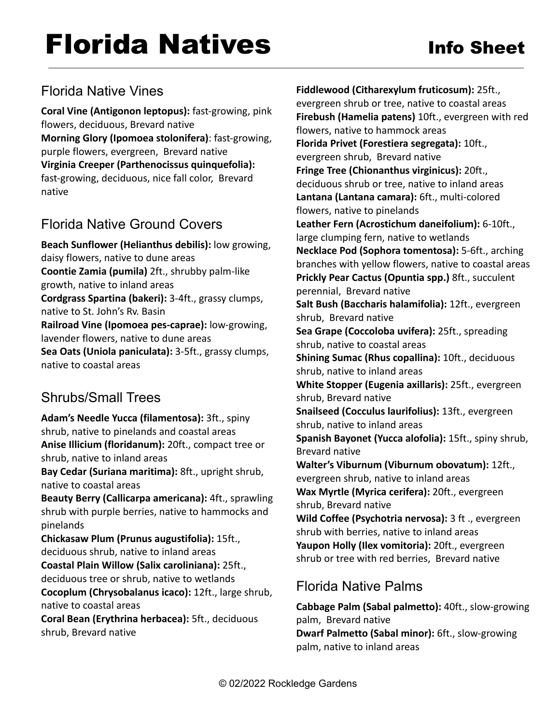# Florida Native Vines

**Coral Vine (Antigonon leptopus):** fast-growing, pink flowers, deciduous, Brevard native **Morning Glory (Ipomoea stolonifera)**: fast-growing, purple flowers, evergreen, Brevard native **Virginia Creeper (Parthenocissus quinquefolia):** fast-growing, deciduous, nice fall color, Brevard native

## Florida Native Ground Covers

**Beach Sunflower (Helianthus debilis):** low growing, daisy flowers, native to dune areas **Coontie Zamia (pumila)** 2ft., shrubby palm-like growth, native to inland areas **Cordgrass Spartina (bakeri):** 3-4ft., grassy clumps, native to St. John's Rv. Basin **Railroad Vine (Ipomoea pes-caprae):** low-growing, lavender flowers, native to dune areas **Sea Oats (Uniola paniculata):** 3-5ft., grassy clumps, native to coastal areas

## Shrubs/Small Trees

**Adam's Needle Yucca (filamentosa):** 3ft., spiny shrub, native to pinelands and coastal areas **Anise Illicium (floridanum):** 20ft., compact tree or shrub, native to inland areas

**Bay Cedar (Suriana maritima):** 8ft., upright shrub, native to coastal areas

**Beauty Berry (Callicarpa americana):** 4ft., sprawling shrub with purple berries, native to hammocks and pinelands

**Chickasaw Plum (Prunus augustifolia):** 15ft., deciduous shrub, native to inland areas

**Coastal Plain Willow (Salix caroliniana):** 25ft., deciduous tree or shrub, native to wetlands

**Cocoplum (Chrysobalanus icaco):** 12ft., large shrub, native to coastal areas

**Coral Bean (Erythrina herbacea):** 5ft., deciduous shrub, Brevard native

**Fiddlewood (Citharexylum fruticosum):** 25ft., evergreen shrub or tree, native to coastal areas **Firebush (Hamelia patens)** 10ft., evergreen with red flowers, native to hammock areas **Florida Privet (Forestiera segregata):** 10ft., evergreen shrub, Brevard native **Fringe Tree (Chionanthus virginicus):** 20ft., deciduous shrub or tree, native to inland areas **Lantana (Lantana camara):** 6ft., multi-colored flowers, native to pinelands **Leather Fern (Acrostichum daneifolium):** 6-10ft., large clumping fern, native to wetlands **Necklace Pod (Sophora tomentosa):** 5-6ft., arching branches with yellow flowers, native to coastal areas **Prickly Pear Cactus (Opuntia spp.)** 8ft., succulent perennial, Brevard native **Salt Bush (Baccharis halamifolia):** 12ft., evergreen shrub, Brevard native **Sea Grape (Coccoloba uvifera):** 25ft., spreading shrub, native to coastal areas **Shining Sumac (Rhus copallina):** 10ft., deciduous shrub, native to inland areas **White Stopper (Eugenia axillaris):** 25ft., evergreen shrub, Brevard native **Snailseed (Cocculus laurifolius):** 13ft., evergreen shrub, native to inland areas **Spanish Bayonet (Yucca alofolia):** 15ft., spiny shrub, Brevard native **Walter's Viburnum (Viburnum obovatum):** 12ft., evergreen shrub, native to inland areas **Wax Myrtle (Myrica cerifera):** 20ft., evergreen shrub, Brevard native **Wild Coffee (Psychotria nervosa):** 3 ft ., evergreen shrub with berries, native to inland areas **Yaupon Holly (Ilex vomitoria):** 20ft., evergreen shrub or tree with red berries, Brevard native

## Florida Native Palms

**Cabbage Palm (Sabal palmetto):** 40ft., slow-growing palm, Brevard native **Dwarf Palmetto (Sabal minor):** 6ft., slow-growing palm, native to inland areas